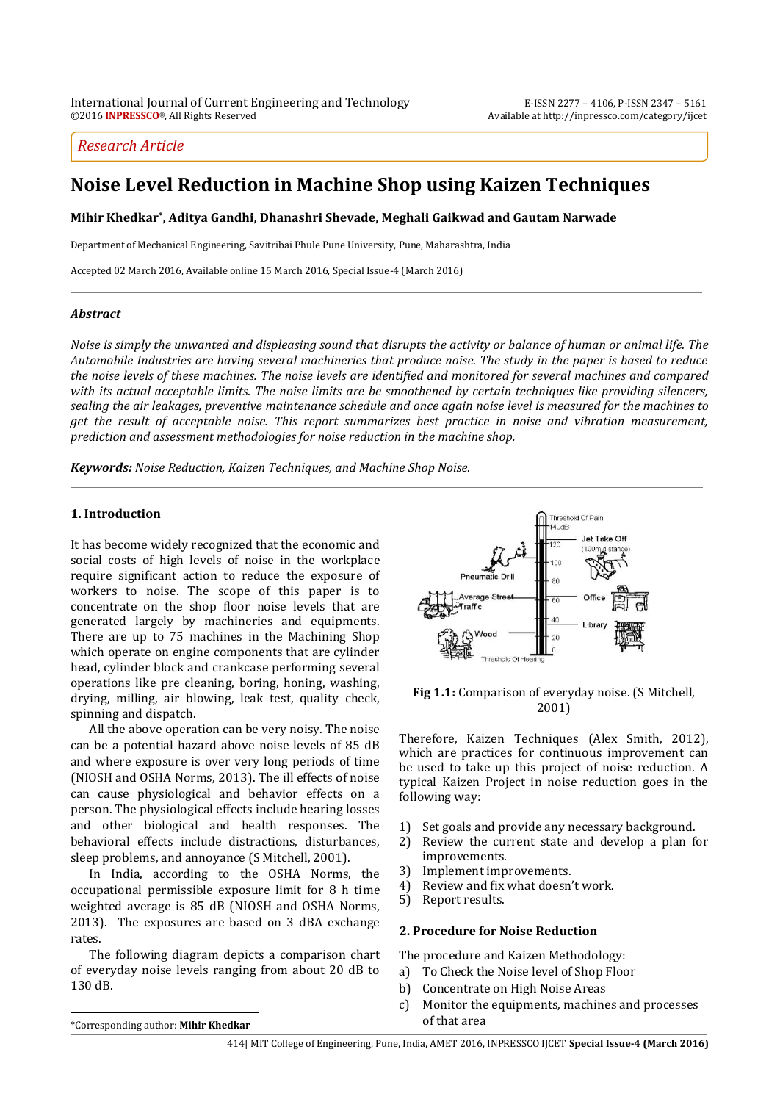## *Research Article*

# **Noise Level Reduction in Machine Shop using Kaizen Techniques**

**Mihir Khedkar\* , Aditya Gandhi, Dhanashri Shevade, Meghali Gaikwad and Gautam Narwade**

Department of Mechanical Engineering, Savitribai Phule Pune University, Pune, Maharashtra, India

Accepted 02 March 2016, Available online 15 March 2016, Special Issue-4 (March 2016)

## *Abstract*

*Noise is simply the unwanted and displeasing sound that disrupts the activity or balance of human or animal life. The Automobile Industries are having several machineries that produce noise. The study in the paper is based to reduce the noise levels of these machines. The noise levels are identified and monitored for several machines and compared with its actual acceptable limits. The noise limits are be smoothened by certain techniques like providing silencers, sealing the air leakages, preventive maintenance schedule and once again noise level is measured for the machines to get the result of acceptable noise. This report summarizes best practice in noise and vibration measurement, prediction and assessment methodologies for noise reduction in the machine shop.* 

*Keywords: Noise Reduction, Kaizen Techniques, and Machine Shop Noise.* 

## **1. Introduction**

It has become widely recognized that the economic and social costs of high levels of noise in the workplace require significant action to reduce the exposure of workers to noise. The scope of this paper is to concentrate on the shop floor noise levels that are generated largely by machineries and equipments. There are up to 75 machines in the Machining Shop which operate on engine components that are cylinder head, cylinder block and crankcase performing several operations like pre cleaning, boring, honing, washing, drying, milling, air blowing, leak test, quality check, spinning and dispatch.

 All the above operation can be very noisy. The noise can be a potential hazard above noise levels of 85 dB and where exposure is over very long periods of time (NIOSH and OSHA Norms, 2013). The ill effects of noise can cause physiological and behavior effects on a person. The physiological effects include hearing losses and other biological and health responses. The behavioral effects include distractions, disturbances, sleep problems, and annoyance (S Mitchell, 2001).

 In India, according to the OSHA Norms, the occupational permissible exposure limit for 8 h time weighted average is 85 dB (NIOSH and OSHA Norms, 2013). The exposures are based on 3 dBA exchange rates.

 The following diagram depicts a comparison chart of everyday noise levels ranging from about 20 dB to 130 dB.



**Fig 1.1:** Comparison of everyday noise. (S Mitchell, 2001)

Therefore, Kaizen Techniques (Alex Smith, 2012), which are practices for continuous improvement can be used to take up this project of noise reduction. A typical Kaizen Project in noise reduction goes in the following way:

- 1) Set goals and provide any necessary background.
- 2) Review the current state and develop a plan for improvements.
- 3) Implement improvements.
- 4) Review and fix what doesn't work.<br>5) Report results.
- Report results.

#### **2. Procedure for Noise Reduction**

The procedure and Kaizen Methodology:

- a) To Check the Noise level of Shop Floor
- b) Concentrate on High Noise Areas
- c) Monitor the equipments, machines and processes of that area

\*Corresponding author: **Mihir Khedkar**

 $\overline{a}$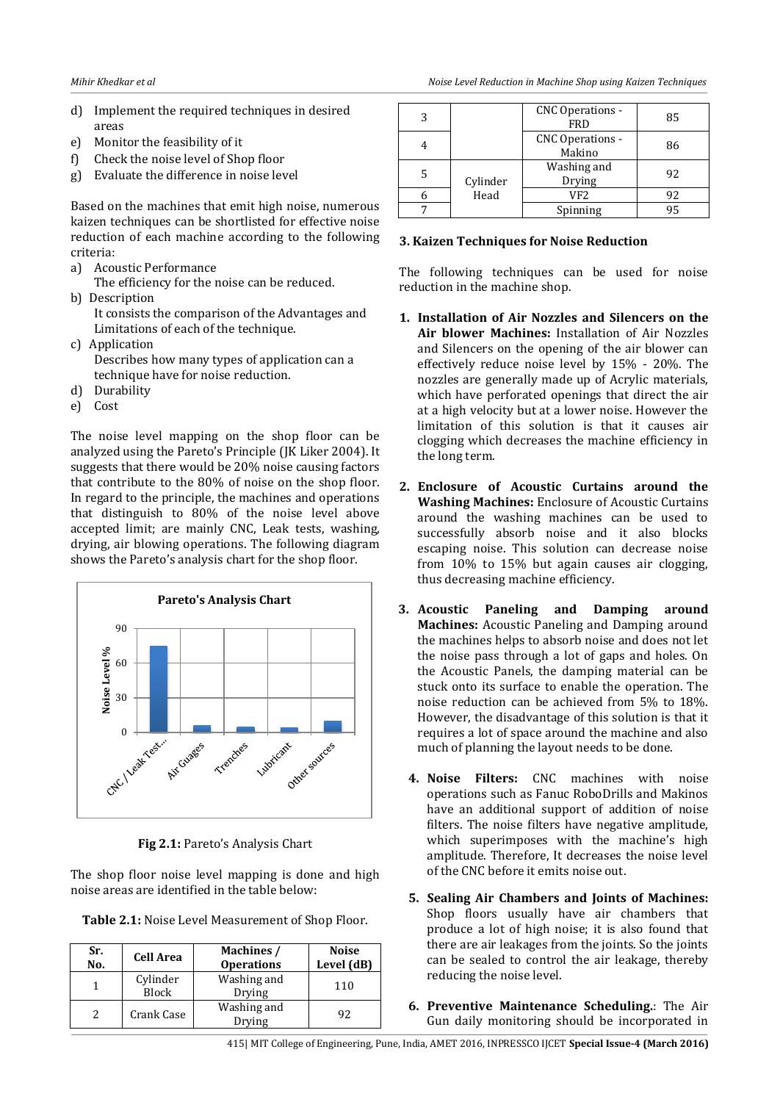- d) Implement the required techniques in desired areas
- e) Monitor the feasibility of it
- f) Check the noise level of Shop floor
- g) Evaluate the difference in noise level

Based on the machines that emit high noise, numerous kaizen techniques can be shortlisted for effective noise reduction of each machine according to the following criteria:

a) Acoustic Performance

The efficiency for the noise can be reduced.

- b) Description It consists the comparison of the Advantages and Limitations of each of the technique.
- c) Application Describes how many types of application can a technique have for noise reduction.
- d) Durability
- e) Cost

The noise level mapping on the shop floor can be analyzed using the Pareto's Principle (JK Liker 2004). It suggests that there would be 20% noise causing factors that contribute to the 80% of noise on the shop floor. In regard to the principle, the machines and operations that distinguish to 80% of the noise level above accepted limit; are mainly CNC, Leak tests, washing, drying, air blowing operations. The following diagram shows the Pareto's analysis chart for the shop floor.



**Fig 2.1:** Pareto's Analysis Chart

The shop floor noise level mapping is done and high noise areas are identified in the table below:

| Sr.<br>No. | <b>Cell Area</b> | Machines /<br><b>Operations</b> | <b>Noise</b><br>Level (dB) |
|------------|------------------|---------------------------------|----------------------------|
|            | Cylinder         | Washing and                     |                            |
|            |                  |                                 | 110                        |

asining and 110

sining and<br>Drying 192

Block

2 Crank Case Washing and

|  | Table 2.1: Noise Level Measurement of Shop Floor. |
|--|---------------------------------------------------|
|--|---------------------------------------------------|

| 3 |          | <b>CNC Operations -</b><br><b>FRD</b> | 85 |
|---|----------|---------------------------------------|----|
|   |          | <b>CNC Operations -</b><br>Makino     | 86 |
| 5 | Cylinder | Washing and<br>Drying                 | 92 |
|   | Head     | <b>VF2</b>                            | 92 |
|   |          | Spinning                              | 95 |
|   |          |                                       |    |

#### **3. Kaizen Techniques for Noise Reduction**

The following techniques can be used for noise reduction in the machine shop.

- **1. Installation of Air Nozzles and Silencers on the Air blower Machines:** Installation of Air Nozzles and Silencers on the opening of the air blower can effectively reduce noise level by 15% - 20%. The nozzles are generally made up of Acrylic materials, which have perforated openings that direct the air at a high velocity but at a lower noise. However the limitation of this solution is that it causes air clogging which decreases the machine efficiency in the long term.
- **2. Enclosure of Acoustic Curtains around the Washing Machines:** Enclosure of Acoustic Curtains around the washing machines can be used to successfully absorb noise and it also blocks escaping noise. This solution can decrease noise from 10% to 15% but again causes air clogging, thus decreasing machine efficiency.
- **3. Acoustic Paneling and Damping around Machines:** Acoustic Paneling and Damping around the machines helps to absorb noise and does not let the noise pass through a lot of gaps and holes. On the Acoustic Panels, the damping material can be stuck onto its surface to enable the operation. The noise reduction can be achieved from 5% to 18%. However, the disadvantage of this solution is that it requires a lot of space around the machine and also much of planning the layout needs to be done.
	- **4. Noise Filters:** CNC machines with noise operations such as Fanuc RoboDrills and Makinos have an additional support of addition of noise filters. The noise filters have negative amplitude, which superimposes with the machine's high amplitude. Therefore, It decreases the noise level of the CNC before it emits noise out.
	- **5. Sealing Air Chambers and Joints of Machines:**  Shop floors usually have air chambers that produce a lot of high noise; it is also found that there are air leakages from the joints. So the joints can be sealed to control the air leakage, thereby reducing the noise level.
	- **6. Preventive Maintenance Scheduling.**: The Air Gun daily monitoring should be incorporated in

415| MIT College of Engineering, Pune, India, AMET 2016, INPRESSCO IJCET **Special Issue-4 (March 2016)**